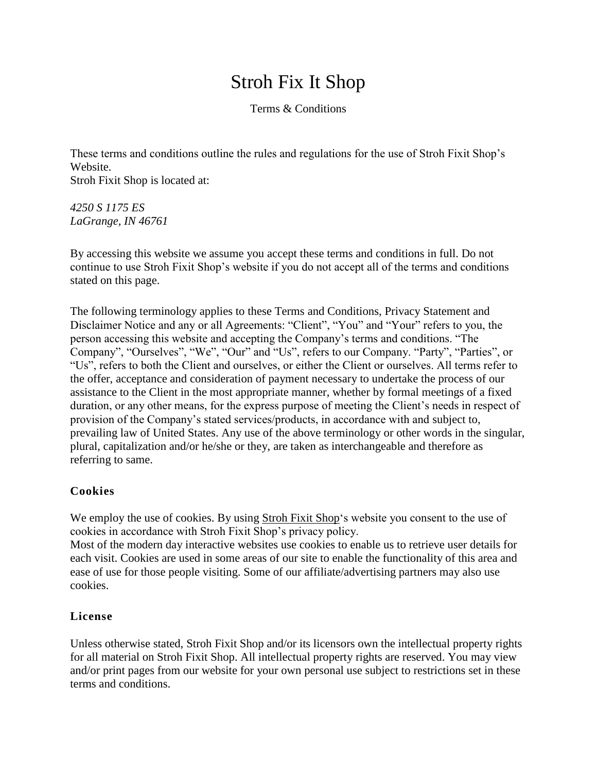# Stroh Fix It Shop

Terms & Conditions

These terms and conditions outline the rules and regulations for the use of Stroh Fixit Shop's Website.

Stroh Fixit Shop is located at:

*4250 S 1175 ES LaGrange, IN 46761*

By accessing this website we assume you accept these terms and conditions in full. Do not continue to use Stroh Fixit Shop's website if you do not accept all of the terms and conditions stated on this page.

The following terminology applies to these Terms and Conditions, Privacy Statement and Disclaimer Notice and any or all Agreements: "Client", "You" and "Your" refers to you, the person accessing this website and accepting the Company's terms and conditions. "The Company", "Ourselves", "We", "Our" and "Us", refers to our Company. "Party", "Parties", or "Us", refers to both the Client and ourselves, or either the Client or ourselves. All terms refer to the offer, acceptance and consideration of payment necessary to undertake the process of our assistance to the Client in the most appropriate manner, whether by formal meetings of a fixed duration, or any other means, for the express purpose of meeting the Client's needs in respect of provision of the Company's stated services/products, in accordance with and subject to, prevailing law of United States. Any use of the above terminology or other words in the singular, plural, capitalization and/or he/she or they, are taken as interchangeable and therefore as referring to same.

# **Cookies**

We employ the use of cookies. By using Stroh Fixit [Shop'](https://strohfixit.com/)s website you consent to the use of cookies in accordance with Stroh Fixit Shop's privacy policy.

Most of the modern day interactive websites use cookies to enable us to retrieve user details for each visit. Cookies are used in some areas of our site to enable the functionality of this area and ease of use for those people visiting. Some of our affiliate/advertising partners may also use cookies.

### **License**

Unless otherwise stated, Stroh Fixit Shop and/or its licensors own the intellectual property rights for all material on Stroh Fixit Shop. All intellectual property rights are reserved. You may view and/or print pages from our website for your own personal use subject to restrictions set in these terms and conditions.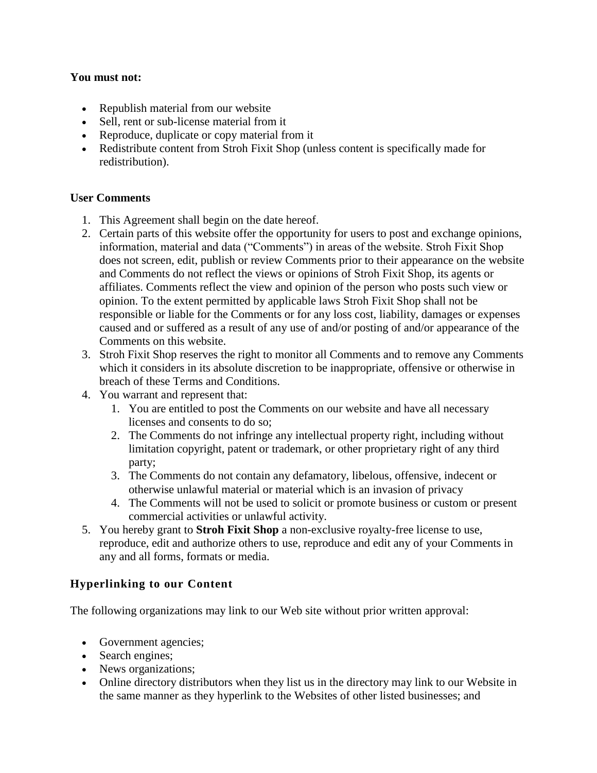#### **You must not:**

- Republish material from our website
- Sell, rent or sub-license material from it
- Reproduce, duplicate or copy material from it
- Redistribute content from Stroh Fixit Shop (unless content is specifically made for redistribution).

### **User Comments**

- 1. This Agreement shall begin on the date hereof.
- 2. Certain parts of this website offer the opportunity for users to post and exchange opinions, information, material and data ("Comments") in areas of the website. Stroh Fixit Shop does not screen, edit, publish or review Comments prior to their appearance on the website and Comments do not reflect the views or opinions of Stroh Fixit Shop, its agents or affiliates. Comments reflect the view and opinion of the person who posts such view or opinion. To the extent permitted by applicable laws Stroh Fixit Shop shall not be responsible or liable for the Comments or for any loss cost, liability, damages or expenses caused and or suffered as a result of any use of and/or posting of and/or appearance of the Comments on this website.
- 3. Stroh Fixit Shop reserves the right to monitor all Comments and to remove any Comments which it considers in its absolute discretion to be inappropriate, offensive or otherwise in breach of these Terms and Conditions.
- 4. You warrant and represent that:
	- 1. You are entitled to post the Comments on our website and have all necessary licenses and consents to do so;
	- 2. The Comments do not infringe any intellectual property right, including without limitation copyright, patent or trademark, or other proprietary right of any third party;
	- 3. The Comments do not contain any defamatory, libelous, offensive, indecent or otherwise unlawful material or material which is an invasion of privacy
	- 4. The Comments will not be used to solicit or promote business or custom or present commercial activities or unlawful activity.
- 5. You hereby grant to **Stroh Fixit Shop** a non-exclusive royalty-free license to use, reproduce, edit and authorize others to use, reproduce and edit any of your Comments in any and all forms, formats or media.

# **Hyperlinking to our Content**

The following organizations may link to our Web site without prior written approval:

- Government agencies;
- Search engines;
- News organizations;
- Online directory distributors when they list us in the directory may link to our Website in the same manner as they hyperlink to the Websites of other listed businesses; and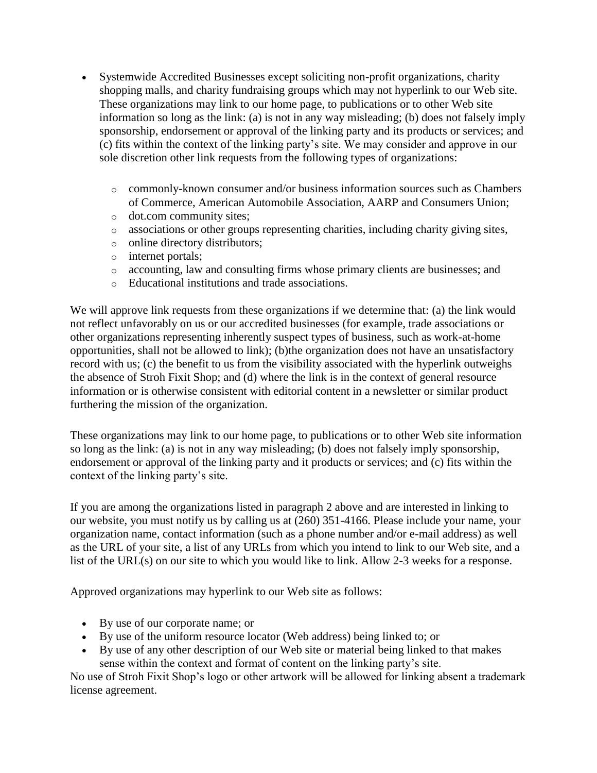- Systemwide Accredited Businesses except soliciting non-profit organizations, charity shopping malls, and charity fundraising groups which may not hyperlink to our Web site. These organizations may link to our home page, to publications or to other Web site information so long as the link: (a) is not in any way misleading; (b) does not falsely imply sponsorship, endorsement or approval of the linking party and its products or services; and (c) fits within the context of the linking party's site. We may consider and approve in our sole discretion other link requests from the following types of organizations:
	- $\circ$  commonly-known consumer and/or business information sources such as Chambers of Commerce, American Automobile Association, AARP and Consumers Union;
	- o dot.com community sites;
	- o associations or other groups representing charities, including charity giving sites,
	- o online directory distributors;
	- o internet portals;
	- o accounting, law and consulting firms whose primary clients are businesses; and
	- o Educational institutions and trade associations.

We will approve link requests from these organizations if we determine that: (a) the link would not reflect unfavorably on us or our accredited businesses (for example, trade associations or other organizations representing inherently suspect types of business, such as work-at-home opportunities, shall not be allowed to link); (b)the organization does not have an unsatisfactory record with us; (c) the benefit to us from the visibility associated with the hyperlink outweighs the absence of Stroh Fixit Shop; and (d) where the link is in the context of general resource information or is otherwise consistent with editorial content in a newsletter or similar product furthering the mission of the organization.

These organizations may link to our home page, to publications or to other Web site information so long as the link: (a) is not in any way misleading; (b) does not falsely imply sponsorship, endorsement or approval of the linking party and it products or services; and (c) fits within the context of the linking party's site.

If you are among the organizations listed in paragraph 2 above and are interested in linking to our website, you must notify us by calling us at (260) 351-4166. Please include your name, your organization name, contact information (such as a phone number and/or e-mail address) as well as the URL of your site, a list of any URLs from which you intend to link to our Web site, and a list of the URL(s) on our site to which you would like to link. Allow 2-3 weeks for a response.

Approved organizations may hyperlink to our Web site as follows:

- By use of our corporate name; or
- By use of the uniform resource locator (Web address) being linked to; or
- By use of any other description of our Web site or material being linked to that makes sense within the context and format of content on the linking party's site.

No use of Stroh Fixit Shop's logo or other artwork will be allowed for linking absent a trademark license agreement.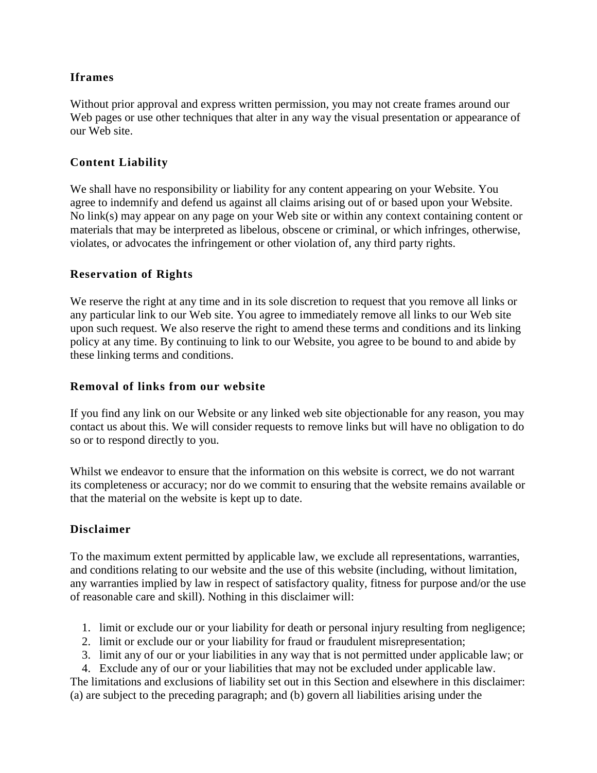## **Iframes**

Without prior approval and express written permission, you may not create frames around our Web pages or use other techniques that alter in any way the visual presentation or appearance of our Web site.

## **Content Liability**

We shall have no responsibility or liability for any content appearing on your Website. You agree to indemnify and defend us against all claims arising out of or based upon your Website. No link(s) may appear on any page on your Web site or within any context containing content or materials that may be interpreted as libelous, obscene or criminal, or which infringes, otherwise, violates, or advocates the infringement or other violation of, any third party rights.

#### **Reservation of Rights**

We reserve the right at any time and in its sole discretion to request that you remove all links or any particular link to our Web site. You agree to immediately remove all links to our Web site upon such request. We also reserve the right to amend these terms and conditions and its linking policy at any time. By continuing to link to our Website, you agree to be bound to and abide by these linking terms and conditions.

#### **Removal of links from our website**

If you find any link on our Website or any linked web site objectionable for any reason, you may contact us about this. We will consider requests to remove links but will have no obligation to do so or to respond directly to you.

Whilst we endeavor to ensure that the information on this website is correct, we do not warrant its completeness or accuracy; nor do we commit to ensuring that the website remains available or that the material on the website is kept up to date.

### **Disclaimer**

To the maximum extent permitted by applicable law, we exclude all representations, warranties, and conditions relating to our website and the use of this website (including, without limitation, any warranties implied by law in respect of satisfactory quality, fitness for purpose and/or the use of reasonable care and skill). Nothing in this disclaimer will:

- 1. limit or exclude our or your liability for death or personal injury resulting from negligence;
- 2. limit or exclude our or your liability for fraud or fraudulent misrepresentation;
- 3. limit any of our or your liabilities in any way that is not permitted under applicable law; or
- 4. Exclude any of our or your liabilities that may not be excluded under applicable law.

The limitations and exclusions of liability set out in this Section and elsewhere in this disclaimer: (a) are subject to the preceding paragraph; and (b) govern all liabilities arising under the